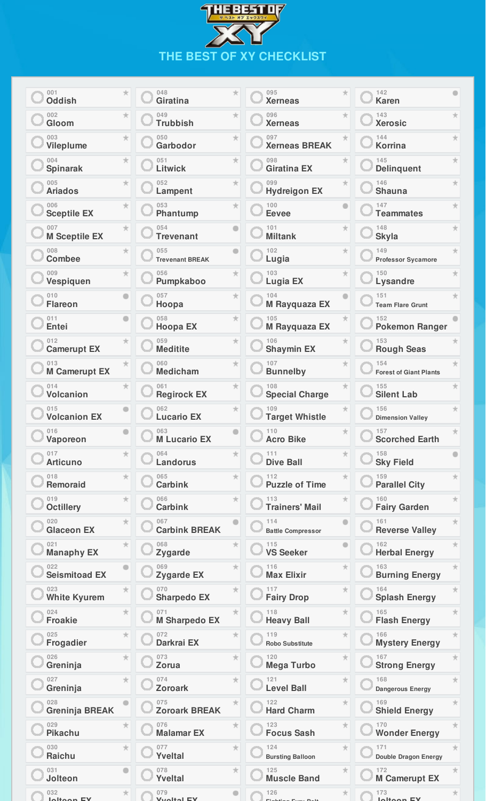| <b>HEBESTOF</b><br>ベスト オブ エックスワイ |
|----------------------------------|
|                                  |
|                                  |
| THE BEST OF XY CHECKLIST         |

| 001<br>$\star$<br><b>Oddish</b>       | 048<br>$\star$<br><b>Giratina</b>      | 095<br>$\pm$<br><b>Xerneas</b>        | 142<br><b>Karen</b>                       |
|---------------------------------------|----------------------------------------|---------------------------------------|-------------------------------------------|
| 002<br>★<br>Gloom                     | 049<br>★<br><b>Trubbish</b>            | 096<br>★<br><b>Xerneas</b>            | 143<br>★<br><b>Xerosic</b>                |
| 003<br>大<br><b>Vileplume</b>          | 050<br>大<br>Garbodor                   | 097<br><b>Xerneas BREAK</b>           | 144<br>$\star$<br><b>Korrina</b>          |
| 004<br>★<br><b>Spinarak</b>           | 051<br>★<br><b>Litwick</b>             | 098<br>★<br><b>Giratina EX</b>        | 145<br>$\pm$<br><b>Delinquent</b>         |
| 005<br>大<br><b>Ariados</b>            | $\pm$<br>052<br>Lampent                | 099<br>$\star$<br><b>Hydreigon EX</b> | 146<br>大<br><b>Shauna</b>                 |
| ★<br>006<br><b>Sceptile EX</b>        | 053<br>★<br>Phantump                   | 100<br><b>Eevee</b>                   | 147<br>★<br><b>Teammates</b>              |
| 007<br>$\pm$<br><b>M Sceptile EX</b>  | 054<br><b>Trevenant</b>                | 101<br>★<br><b>Miltank</b>            | 148<br>$\pm$<br><b>Skyla</b>              |
| 008<br>大<br><b>Combee</b>             | 055<br><b>Trevenant BREAK</b>          | 102<br>大<br>Lugia                     | 149<br>大<br><b>Professor Sycamore</b>     |
| 009<br>大<br>Vespiquen                 | $\star$<br>056<br>Pumpkaboo            | 103<br>$\star$<br><b>Lugia EX</b>     | $\pm$<br>150<br>Lysandre                  |
| 010<br><b>Flareon</b>                 | 057<br>$\star$<br>Hoopa                | 104<br>M Rayquaza EX                  | 151<br>★<br><b>Team Flare Grunt</b>       |
| 011<br>Entei                          | 058<br>$\star$<br><b>Hoopa EX</b>      | 105<br>M Rayquaza EX                  | 152<br><b>Pokemon Ranger</b>              |
| 012<br>★<br><b>Camerupt EX</b>        | 059<br>$\star$<br><b>Meditite</b>      | 106<br>★<br><b>Shaymin EX</b>         | 153<br><b>Rough Seas</b>                  |
| 013<br><b>M Camerupt EX</b>           | 060<br>$\star$<br><b>Medicham</b>      | 107<br>★<br><b>Bunnelby</b>           | 154<br>★<br><b>Forest of Giant Plants</b> |
| 014<br>★<br><b>Volcanion</b>          | 061<br>★<br><b>Regirock EX</b>         | 108<br>★<br><b>Special Charge</b>     | 155<br>★<br><b>Silent Lab</b>             |
| 015<br><b>Volcanion EX</b>            | 062<br>$\star$<br><b>Lucario EX</b>    | 109<br>★<br><b>Target Whistle</b>     | 156<br><b>Dimension Valley</b>            |
| 016<br>Vaporeon                       | 063<br><b>M Lucario EX</b>             | 110<br><b>Acro Bike</b>               | 157<br><b>Scorched Earth</b>              |
| 017<br>★<br><b>Articuno</b>           | 064<br>$\star$<br>Landorus             | 111<br>★<br><b>Dive Ball</b>          | 158<br><b>Sky Field</b>                   |
| 018<br>$\star$<br><b>Remoraid</b>     | 065<br>$\star$<br><b>Carbink</b>       | ★<br>112<br><b>Puzzle of Time</b>     | 159<br><b>Parallel City</b>               |
| 019<br>★<br><b>Octillery</b>          | 066<br>$\star$<br><b>Carbink</b>       | 113<br><b>Trainers' Mail</b>          | 160<br><b>Fairy Garden</b>                |
| $\star$<br>020<br><b>Glaceon EX</b>   | 067<br><b>Carbink BREAK</b>            | 114<br><b>Battle Compressor</b>       | $\pm$<br>161<br><b>Reverse Valley</b>     |
| 021<br>★<br><b>Manaphy EX</b>         | 068<br>★<br>Zygarde                    | 115<br><b>VS Seeker</b>               | 162<br><b>Herbal Energy</b>               |
| 022<br><b>Seismitoad EX</b>           | 069<br>★<br><b>Zygarde EX</b>          | 116<br>★<br><b>Max Elixir</b>         | 163<br><b>Burning Energy</b>              |
| 023<br>$\star$<br><b>White Kyurem</b> | 070<br>$\star$<br><b>Sharpedo EX</b>   | ★<br>117<br><b>Fairy Drop</b>         | 164<br><b>Splash Energy</b>               |
| 024<br>$\star$<br><b>Froakie</b>      | $\star$<br><b>M Sharpedo EX</b>        | ★<br>118<br><b>Heavy Ball</b>         | 165<br><b>Flash Energy</b>                |
| 025<br>★<br>Frogadier                 | 072<br>★<br>Darkrai EX                 | 119<br>★<br><b>Robo Substitute</b>    | 166<br>★<br><b>Mystery Energy</b>         |
| 大<br>026<br>Greninja                  | 073<br>$\star$<br>Zorua                | ★<br>120<br><b>Mega Turbo</b>         | 167<br>★<br><b>Strong Energy</b>          |
| 027<br>★<br>Greninja                  | 074<br>$\star$<br><b>Zoroark</b>       | 121<br>★<br><b>Level Ball</b>         | 168<br><b>Dangerous Energy</b>            |
| 028<br><b>Greninja BREAK</b>          | 075<br>$\star$<br><b>Zoroark BREAK</b> | 122<br>$\star$<br><b>Hard Charm</b>   | 169<br><b>Shield Energy</b>               |
| 029<br>★<br><b>Pikachu</b>            | 076<br>★<br><b>Malamar EX</b>          | 123<br>★<br><b>Focus Sash</b>         | 170<br>★<br><b>Wonder Energy</b>          |
| 030<br>$\star$<br>Raichu              | 077<br>$\star$<br><b>Yveltal</b>       | 124<br>★<br><b>Bursting Balloon</b>   | 171<br>Double Dragon Energy               |
| 031<br>Jolteon                        | 078<br>★<br><b>Yveltal</b>             | 125<br>★<br><b>Muscle Band</b>        | 172<br><b>M Camerupt EX</b>               |
| 032<br>★.                             | 079                                    | 126<br>$\pm$                          | 173                                       |